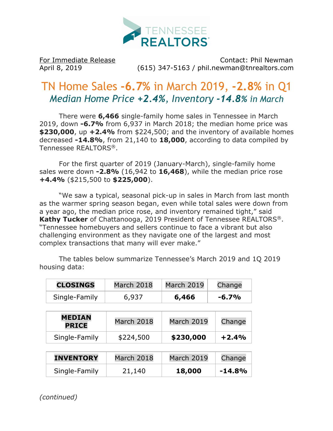

For Immediate Release Contact: Phil Newman April 8, 2019 (615) 347-5163 / phil.newman@tnrealtors.com

## TN Home Sales **-6.7%** in March 2019, **-2.8%** in Q1 *Median Home Price +2.4%, Inventory -14.8% in March*

There were **6,466** single-family home sales in Tennessee in March 2019, down **-6.7%** from 6,937 in March 2018; the median home price was **\$230,000**, up **+2.4%** from \$224,500; and the inventory of available homes decreased **-14.8%**, from 21,140 to **18,000**, according to data compiled by Tennessee REALTORS®.

For the first quarter of 2019 (January-March), single-family home sales were down **-2.8%** (16,942 to **16,468**), while the median price rose **+4.4%** (\$215,500 to **\$225,000**).

"We saw a typical, seasonal pick-up in sales in March from last month as the warmer spring season began, even while total sales were down from a year ago, the median price rose, and inventory remained tight," said **Kathy Tucker** of Chattanooga, 2019 President of Tennessee REALTORS®. "Tennessee homebuyers and sellers continue to face a vibrant but also challenging environment as they navigate one of the largest and most complex transactions that many will ever make."

The tables below summarize Tennessee's March 2019 and 1Q 2019 housing data:

| <b>CLOSINGS</b> | March 2018 | March 2019 | Change  |  |
|-----------------|------------|------------|---------|--|
| Single-Family   | 6,937      | 6,466      | $-6.7%$ |  |

| <b>MEDIAN</b><br><b>PRICE</b> | March 2018 | March 2019 | Change  |
|-------------------------------|------------|------------|---------|
| Single-Family                 | \$224,500  | \$230,000  | $+2.4%$ |
|                               |            |            |         |

| <b>INVENTORY</b> | March 2018 | March 2019 | Change   |
|------------------|------------|------------|----------|
| Single-Family    | 21,140     | 18,000     | $-14.8%$ |

*(continued)*